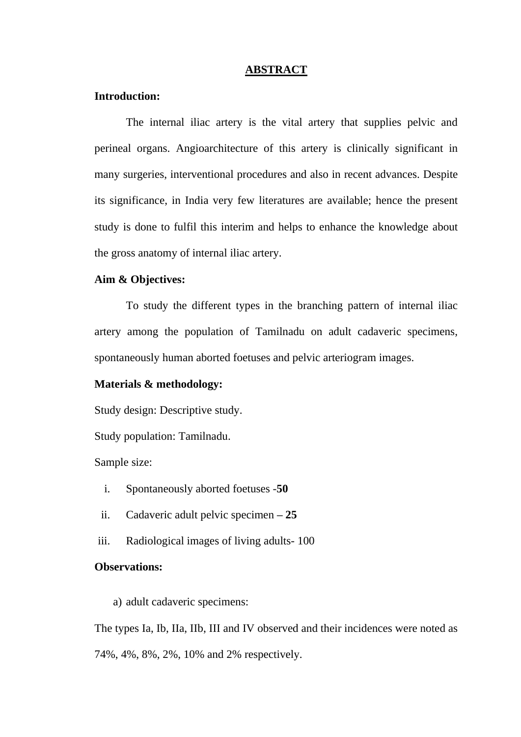### **ABSTRACT**

## **Introduction:**

The internal iliac artery is the vital artery that supplies pelvic and perineal organs. Angioarchitecture of this artery is clinically significant in many surgeries, interventional procedures and also in recent advances. Despite its significance, in India very few literatures are available; hence the present study is done to fulfil this interim and helps to enhance the knowledge about the gross anatomy of internal iliac artery.

## **Aim & Objectives:**

To study the different types in the branching pattern of internal iliac artery among the population of Tamilnadu on adult cadaveric specimens, spontaneously human aborted foetuses and pelvic arteriogram images.

# **Materials & methodology:**

Study design: Descriptive study.

Study population: Tamilnadu.

Sample size:

- i. Spontaneously aborted foetuses -**50**
- ii. Cadaveric adult pelvic specimen **– 25**
- iii. Radiological images of living adults- 100

### **Observations:**

a) adult cadaveric specimens:

The types Ia, Ib, IIa, IIb, III and IV observed and their incidences were noted as 74%, 4%, 8%, 2%, 10% and 2% respectively.